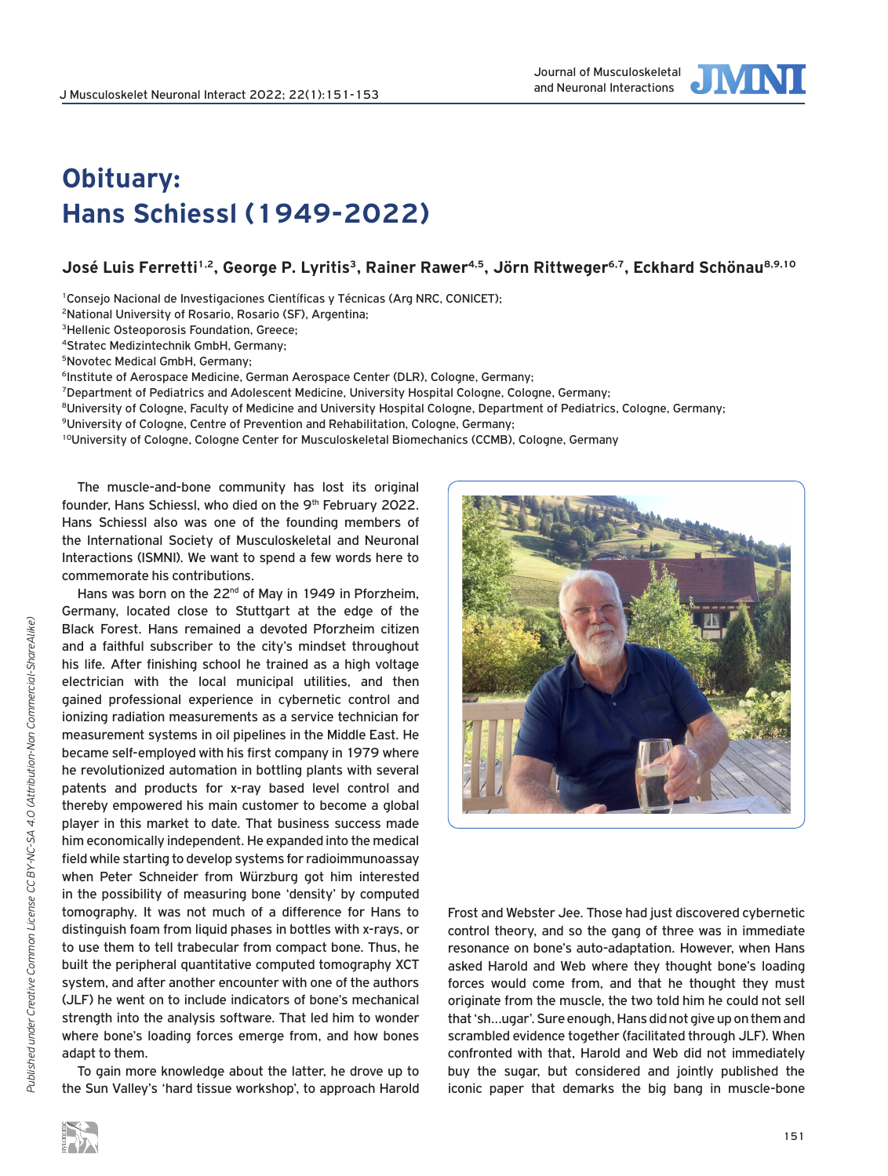

## **Obituary: Hans Schiessl (1949-2022)**

## José Luis Ferretti<sup>1,2</sup>, George P. Lyritis<sup>3</sup>, Rainer Rawer<sup>4,5</sup>, Jörn Rittweger<sup>6,7</sup>, Eckhard Schönau<sup>8,9,10</sup>

<sup>1</sup>Consejo Nacional de Investigaciones Científicas y Técnicas (Arg NRC, CONICET):

2National University of Rosario, Rosario (SF), Argentina;

3Hellenic Osteoporosis Foundation, Greece;

4Stratec Medizintechnik GmbH, Germany;

5Novotec Medical GmbH, Germany;

<sup>6</sup>Institute of Aerospace Medicine, German Aerospace Center (DLR), Cologne, Germany;

7Department of Pediatrics and Adolescent Medicine, University Hospital Cologne, Cologne, Germany;

<sup>8</sup>University of Cologne, Faculty of Medicine and University Hospital Cologne, Department of Pediatrics, Cologne, Germany;

9University of Cologne, Centre of Prevention and Rehabilitation, Cologne, Germany;

<sup>10</sup>University of Cologne, Cologne Center for Musculoskeletal Biomechanics (CCMB), Cologne, Germany

The muscle-and-bone community has lost its original founder, Hans Schiessl, who died on the 9<sup>th</sup> February 2022. Hans Schiessl also was one of the founding members of the International Society of Musculoskeletal and Neuronal Interactions (ISMNI). We want to spend a few words here to commemorate his contributions.

Hans was born on the 22<sup>nd</sup> of May in 1949 in Pforzheim, Germany, located close to Stuttgart at the edge of the Black Forest. Hans remained a devoted Pforzheim citizen and a faithful subscriber to the city's mindset throughout his life. After finishing school he trained as a high voltage electrician with the local municipal utilities, and then gained professional experience in cybernetic control and ionizing radiation measurements as a service technician for measurement systems in oil pipelines in the Middle East. He became self-employed with his first company in 1979 where he revolutionized automation in bottling plants with several patents and products for x-ray based level control and thereby empowered his main customer to become a global player in this market to date. That business success made him economically independent. He expanded into the medical field while starting to develop systems for radioimmunoassay when Peter Schneider from Würzburg got him interested in the possibility of measuring bone 'density' by computed tomography. It was not much of a difference for Hans to distinguish foam from liquid phases in bottles with x-rays, or to use them to tell trabecular from compact bone. Thus, he built the peripheral quantitative computed tomography XCT system, and after another encounter with one of the authors (JLF) he went on to include indicators of bone's mechanical strength into the analysis software. That led him to wonder where bone's loading forces emerge from, and how bones adapt to them.

To gain more knowledge about the latter, he drove up to the Sun Valley's 'hard tissue workshop', to approach Harold



Frost and Webster Jee. Those had just discovered cybernetic control theory, and so the gang of three was in immediate resonance on bone's auto-adaptation. However, when Hans asked Harold and Web where they thought bone's loading forces would come from, and that he thought they must originate from the muscle, the two told him he could not sell that 'sh…ugar'. Sure enough, Hans did not give up on them and scrambled evidence together (facilitated through JLF). When confronted with that, Harold and Web did not immediately buy the sugar, but considered and jointly published the iconic paper that demarks the big bang in muscle-bone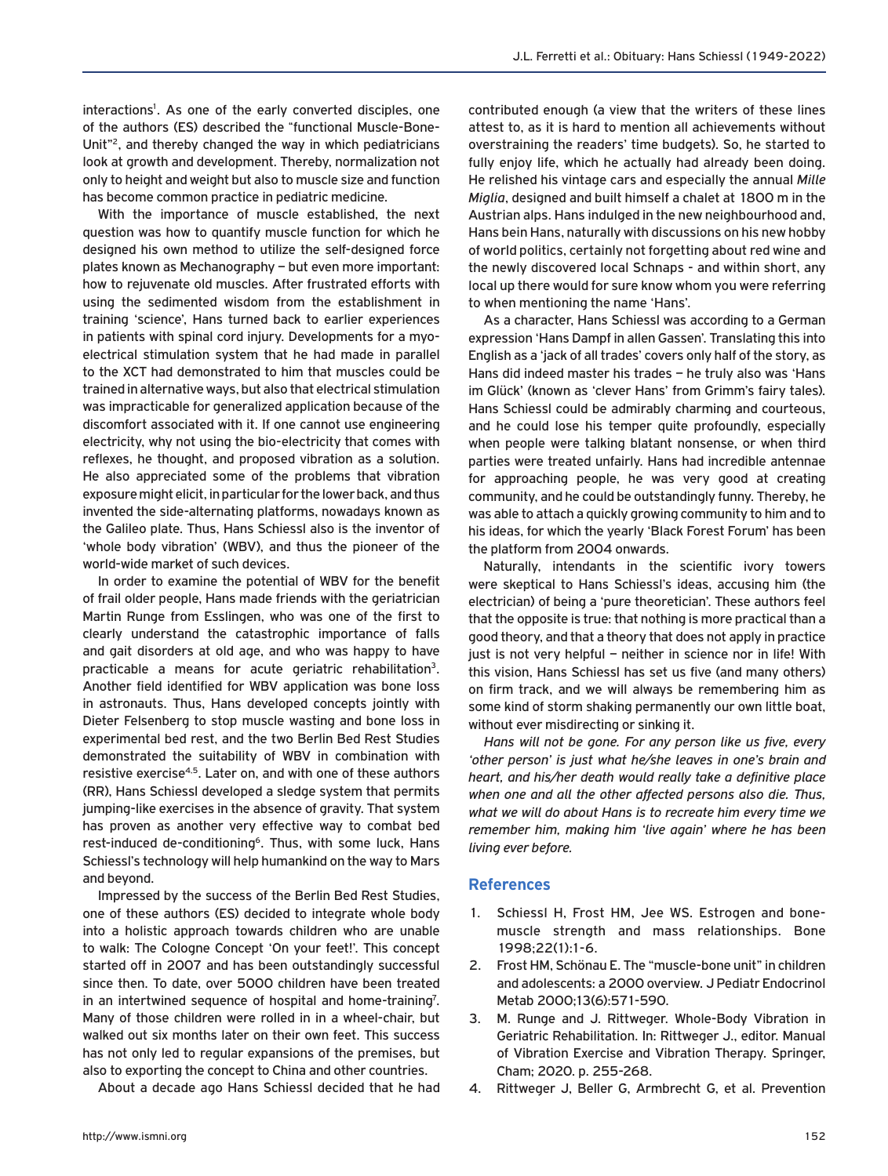interactions<sup>1</sup>. As one of the early converted disciples, one of the authors (ES) described the "functional Muscle-Bone-Unit"2, and thereby changed the way in which pediatricians look at growth and development. Thereby, normalization not only to height and weight but also to muscle size and function has become common practice in pediatric medicine.

With the importance of muscle established, the next question was how to quantify muscle function for which he designed his own method to utilize the self-designed force plates known as Mechanography – but even more important: how to rejuvenate old muscles. After frustrated efforts with using the sedimented wisdom from the establishment in training 'science', Hans turned back to earlier experiences in patients with spinal cord injury. Developments for a myoelectrical stimulation system that he had made in parallel to the XCT had demonstrated to him that muscles could be trained in alternative ways, but also that electrical stimulation was impracticable for generalized application because of the discomfort associated with it. If one cannot use engineering electricity, why not using the bio-electricity that comes with reflexes, he thought, and proposed vibration as a solution. He also appreciated some of the problems that vibration exposure might elicit, in particular for the lower back, and thus invented the side-alternating platforms, nowadays known as the Galileo plate. Thus, Hans Schiessl also is the inventor of 'whole body vibration' (WBV), and thus the pioneer of the world-wide market of such devices.

In order to examine the potential of WBV for the benefit of frail older people, Hans made friends with the geriatrician Martin Runge from Esslingen, who was one of the first to clearly understand the catastrophic importance of falls and gait disorders at old age, and who was happy to have practicable a means for acute geriatric rehabilitation<sup>3</sup>. Another field identified for WBV application was bone loss in astronauts. Thus, Hans developed concepts jointly with Dieter Felsenberg to stop muscle wasting and bone loss in experimental bed rest, and the two Berlin Bed Rest Studies demonstrated the suitability of WBV in combination with resistive exercise<sup>4,5</sup>. Later on, and with one of these authors (RR), Hans Schiessl developed a sledge system that permits jumping-like exercises in the absence of gravity. That system has proven as another very effective way to combat bed rest-induced de-conditioning<sup>6</sup>. Thus, with some luck, Hans Schiessl's technology will help humankind on the way to Mars and beyond.

Impressed by the success of the Berlin Bed Rest Studies, one of these authors (ES) decided to integrate whole body into a holistic approach towards children who are unable to walk: The Cologne Concept 'On your feet!'. This concept started off in 2007 and has been outstandingly successful since then. To date, over 5000 children have been treated in an intertwined sequence of hospital and home-training<sup>7</sup>. Many of those children were rolled in in a wheel-chair, but walked out six months later on their own feet. This success has not only led to regular expansions of the premises, but also to exporting the concept to China and other countries.

About a decade ago Hans Schiessl decided that he had

contributed enough (a view that the writers of these lines attest to, as it is hard to mention all achievements without overstraining the readers' time budgets). So, he started to fully enjoy life, which he actually had already been doing. He relished his vintage cars and especially the annual *Mille Miglia*, designed and built himself a chalet at 1800 m in the Austrian alps. Hans indulged in the new neighbourhood and, Hans bein Hans, naturally with discussions on his new hobby of world politics, certainly not forgetting about red wine and the newly discovered local Schnaps - and within short, any local up there would for sure know whom you were referring to when mentioning the name 'Hans'.

As a character, Hans Schiessl was according to a German expression 'Hans Dampf in allen Gassen'. Translating this into English as a 'jack of all trades' covers only half of the story, as Hans did indeed master his trades – he truly also was 'Hans im Glück' (known as 'clever Hans' from Grimm's fairy tales). Hans Schiessl could be admirably charming and courteous, and he could lose his temper quite profoundly, especially when people were talking blatant nonsense, or when third parties were treated unfairly. Hans had incredible antennae for approaching people, he was very good at creating community, and he could be outstandingly funny. Thereby, he was able to attach a quickly growing community to him and to his ideas, for which the yearly 'Black Forest Forum' has been the platform from 2004 onwards.

Naturally, intendants in the scientific ivory towers were skeptical to Hans Schiessl's ideas, accusing him (the electrician) of being a 'pure theoretician'. These authors feel that the opposite is true: that nothing is more practical than a good theory, and that a theory that does not apply in practice just is not very helpful – neither in science nor in life! With this vision, Hans Schiessl has set us five (and many others) on firm track, and we will always be remembering him as some kind of storm shaking permanently our own little boat, without ever misdirecting or sinking it.

*Hans will not be gone. For any person like us five, every 'other person' is just what he/she leaves in one's brain and heart, and his/her death would really take a definitive place when one and all the other affected persons also die. Thus, what we will do about Hans is to recreate him every time we remember him, making him 'live again' where he has been living ever before.* 

## **References**

- 1. Schiessl H, Frost HM, Jee WS. Estrogen and bonemuscle strength and mass relationships. Bone 1998;22(1):1-6.
- 2. Frost HM, Schönau E. The "muscle-bone unit" in children and adolescents: a 2000 overview. J Pediatr Endocrinol Metab 2000;13(6):571-590.
- 3. M. Runge and J. Rittweger. Whole-Body Vibration in Geriatric Rehabilitation. In: Rittweger J., editor. Manual of Vibration Exercise and Vibration Therapy. Springer, Cham; 2020. p. 255-268.
- 4. Rittweger J, Beller G, Armbrecht G, et al. Prevention